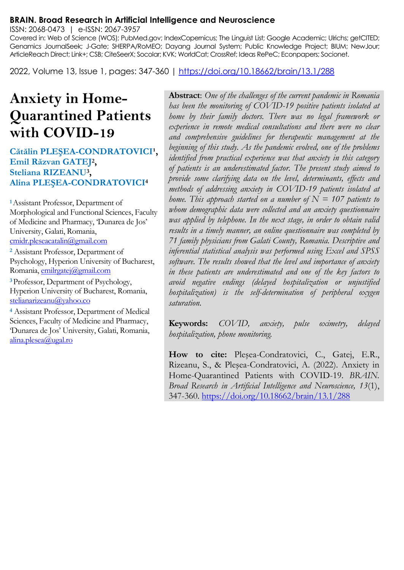#### **BRAIN. Broad Research in Artificial Intelligence and Neuroscience**

ISSN: 2068-0473 | e-ISSN: 2067-3957

Covered in: Web of Science (WOS); PubMed.gov; IndexCopernicus; The Linguist List; Google Academic; Ulrichs; getCITED; Genamics JournalSeek; J-Gate; SHERPA/RoMEO; Dayang Journal System; Public Knowledge Project; BIUM; NewJour; ArticleReach Direct; Link+; CSB; CiteSeerX; Socolar; KVK; WorldCat; CrossRef; Ideas RePeC; Econpapers; Socionet.

2022, Volume 13, Issue 1, pages: 347-360 |<https://doi.org/10.18662/brain/13.1/288>

# **Anxiety in Home-Quarantined Patients with COVID-19**

#### **Cătălin PLEȘEA-CONDRATOVICI<sup>1</sup>, Emil Răzvan GATEJ<sup>2</sup> , Steliana RIZEANU<sup>3</sup> , Alina PLEŞEA-CONDRATOVICI<sup>4</sup>**

**<sup>1</sup>**Assistant Professor, Department of Morphological and Functional Sciences, Faculty of Medicine and Pharmacy, 'Dunarea de Jos' University, Galati, Romania, [cmidr.pleseacatalin@gmail.com](mailto:cmidr.pleseacatalin@gmail.com)

**<sup>2</sup>** Assistant Professor, Department of Psychology, Hyperion University of Bucharest, Romania, [emilrgatej@gmail.com](mailto:emilrgatej@gmail.com) 

**<sup>3</sup>**Professor, Department of Psychology, Hyperion University of Bucharest, Romania, stelianarizeanu@yahoo.co

**<sup>4</sup>** Assistant Professor, Department of Medical Sciences, Faculty of Medicine and Pharmacy, 'Dunarea de Jos' University, Galati, Romania, alina.plesea@ugal.ro

**Abstract**: *One of the challenges of the current pandemic in Romania has been the monitoring of COVID-19 positive patients isolated at home by their family doctors. There was no legal framework or experience in remote medical consultations and there were no clear and comprehensive guidelines for therapeutic management at the beginning of this study. As the pandemic evolved, one of the problems identified from practical experience was that anxiety in this category of patients is an underestimated factor. The present study aimed to provide some clarifying data on the level, determinants, effects and methods of addressing anxiety in COVID-19 patients isolated at home. This approach started on a number of*  $N = 107$  *patients to whom demographic data were collected and an anxiety questionnaire was applied by telephone. In the next stage, in order to obtain valid results in a timely manner, an online questionnaire was completed by 71 family physicians from Galati County, Romania. Descriptive and inferential statistical analysis was performed using Excel and SPSS software. The results showed that the level and importance of anxiety in these patients are underestimated and one of the key factors to avoid negative endings (delayed hospitalization or unjustified hospitalization) is the self-determination of peripheral oxygen saturation.*

**Keywords:** *COVID, anxiety, pulse oximetry, delayed hospitalization, phone monitoring.*

**How to cite:** Pleşea-Condratovici, C., Gatej, E.R., Rizeanu, S., & Pleşea-Condratovici, A. (2022). Anxiety in Home-Quarantined Patients with COVID-19. *BRAIN. Broad Research in Artificial Intelligence and Neuroscience, 13*(1), 347-360[. https://doi.org/10.18662/brain/13.1/288](https://doi.org/10.18662/brain/13.1/288)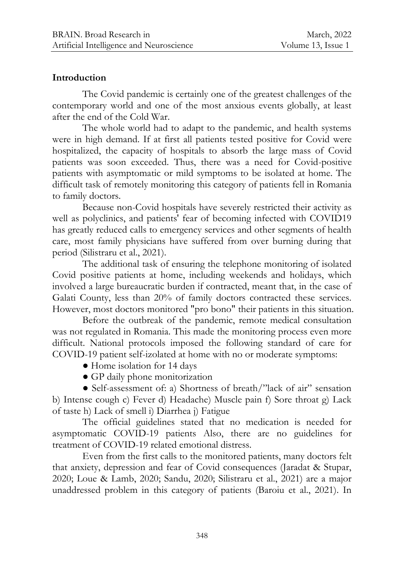#### **Introduction**

The Covid pandemic is certainly one of the greatest challenges of the contemporary world and one of the most anxious events globally, at least after the end of the Cold War.

The whole world had to adapt to the pandemic, and health systems were in high demand. If at first all patients tested positive for Covid were hospitalized, the capacity of hospitals to absorb the large mass of Covid patients was soon exceeded. Thus, there was a need for Covid-positive patients with asymptomatic or mild symptoms to be isolated at home. The difficult task of remotely monitoring this category of patients fell in Romania to family doctors.

Because non-Covid hospitals have severely restricted their activity as well as polyclinics, and patients' fear of becoming infected with COVID19 has greatly reduced calls to emergency services and other segments of health care, most family physicians have suffered from over burning during that period (Silistraru et al., 2021).

The additional task of ensuring the telephone monitoring of isolated Covid positive patients at home, including weekends and holidays, which involved a large bureaucratic burden if contracted, meant that, in the case of Galati County, less than 20% of family doctors contracted these services. However, most doctors monitored "pro bono" their patients in this situation.

Before the outbreak of the pandemic, remote medical consultation was not regulated in Romania. This made the monitoring process even more difficult. National protocols imposed the following standard of care for COVID-19 patient self-izolated at home with no or moderate symptoms:

- Home isolation for 14 days
- GP daily phone monitorization

● Self-assessment of: a) Shortness of breath/"lack of air" sensation b) Intense cough c) Fever d) Headache) Muscle pain f) Sore throat g) Lack of taste h) Lack of smell i) Diarrhea j) Fatigue

The official guidelines stated that no medication is needed for asymptomatic COVID-19 patients Also, there are no guidelines for treatment of COVID-19 related emotional distress.

Even from the first calls to the monitored patients, many doctors felt that anxiety, depression and fear of Covid consequences (Jaradat & Stupar, 2020; Loue & Lamb, 2020; Sandu, 2020; Silistraru et al., 2021) are a major unaddressed problem in this category of patients (Baroiu et al., 2021). In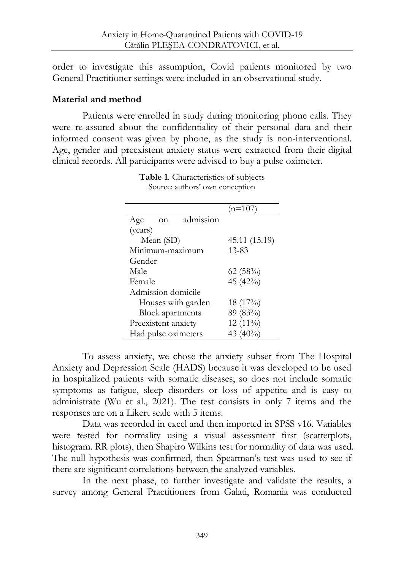order to investigate this assumption, Covid patients monitored by two General Practitioner settings were included in an observational study.

#### **Material and method**

Patients were enrolled in study during monitoring phone calls. They were re-assured about the confidentiality of their personal data and their informed consent was given by phone, as the study is non-interventional. Age, gender and preexistent anxiety status were extracted from their digital clinical records. All participants were advised to buy a pulse oximeter.

|                         |           |               | (n=107     |  |  |  |
|-------------------------|-----------|---------------|------------|--|--|--|
| Age                     | on        | admission     |            |  |  |  |
| (years)                 |           |               |            |  |  |  |
|                         | Mean (SD) | 45.11 (15.19) |            |  |  |  |
| Minimum-maximum         |           |               | $13 - 83$  |  |  |  |
| Gender                  |           |               |            |  |  |  |
| Male                    |           | 62(58%)       |            |  |  |  |
| Female                  |           | 45 (42%)      |            |  |  |  |
| Admission domicile      |           |               |            |  |  |  |
| Houses with garden      |           |               | 18 (17%)   |  |  |  |
| <b>Block</b> apartments |           |               | 89 (83%)   |  |  |  |
| Preexistent anxiety     |           |               | $12(11\%)$ |  |  |  |
| Had pulse oximeters     |           | 43 $(40\%)$   |            |  |  |  |

**Table 1**. Characteristics of subjects Source: authors' own conception

To assess anxiety, we chose the anxiety subset from The Hospital Anxiety and Depression Scale (HADS) because it was developed to be used in hospitalized patients with somatic diseases, so does not include somatic symptoms as fatigue, sleep disorders or loss of appetite and is easy to administrate (Wu et al., 2021). The test consists in only 7 items and the responses are on a Likert scale with 5 items.

Data was recorded in excel and then imported in SPSS v16. Variables were tested for normality using a visual assessment first (scatterplots, histogram. RR plots), then Shapiro Wilkins test for normality of data was used. The null hypothesis was confirmed, then Spearman's test was used to see if there are significant correlations between the analyzed variables.

In the next phase, to further investigate and validate the results, a survey among General Practitioners from Galati, Romania was conducted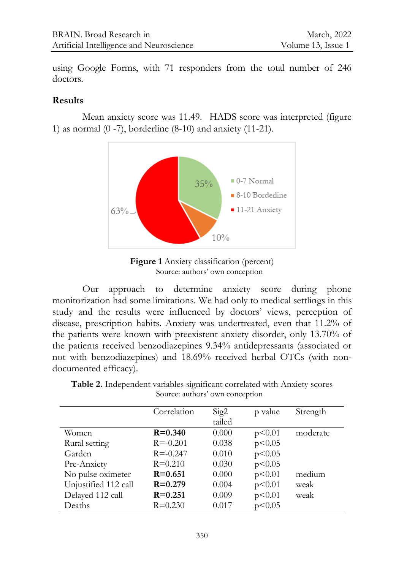using Google Forms, with 71 responders from the total number of 246 doctors.

#### **Results**

Mean anxiety score was 11.49. HADS score was interpreted (figure 1) as normal (0 -7), borderline (8-10) and anxiety (11-21).



**Figure 1** Anxiety classification (percent) Source: authors' own conception

Our approach to determine anxiety score during phone monitorization had some limitations. We had only to medical settlings in this study and the results were influenced by doctors' views, perception of disease, prescription habits. Anxiety was undertreated, even that 11.2% of the patients were known with preexistent anxiety disorder, only 13.70% of the patients received benzodiazepines 9.34% antidepressants (associated or not with benzodiazepines) and 18.69% received herbal OTCs (with nondocumented efficacy).

|                      | Correlation  | Sig2   | p value  | Strength |
|----------------------|--------------|--------|----------|----------|
|                      |              | tailed |          |          |
| Women                | $R = 0.340$  | 0.000  | p<0.01   | moderate |
| Rural setting        | $R = -0.201$ | 0.038  | p < 0.05 |          |
| Garden               | $R = -0.247$ | 0.010  | p<0.05   |          |
| Pre-Anxiety          | $R = 0.210$  | 0.030  | p < 0.05 |          |
| No pulse oximeter    | $R = 0.651$  | 0.000  | p<0.01   | medium   |
| Unjustified 112 call | $R = 0.279$  | 0.004  | p<0.01   | weak     |
| Delayed 112 call     | $R = 0.251$  | 0.009  | p<0.01   | weak     |
| Deaths               | $R = 0.230$  | 0.017  | p<0.05   |          |

**Table 2.** Independent variables significant correlated with Anxiety scores Source: authors' own conception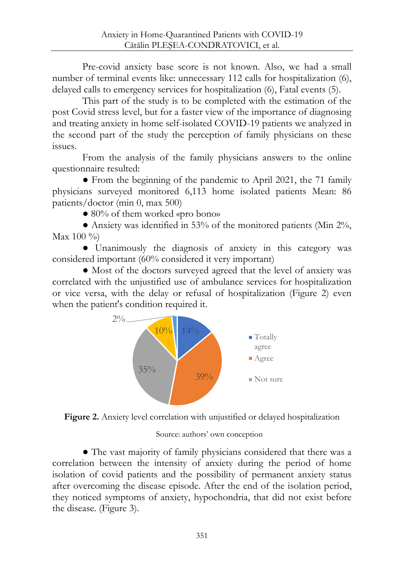Pre-covid anxiety base score is not known. Also, we had a small number of terminal events like: unnecessary 112 calls for hospitalization (6), delayed calls to emergency services for hospitalization (6), Fatal events (5).

This part of the study is to be completed with the estimation of the post Covid stress level, but for a faster view of the importance of diagnosing and treating anxiety in home self-isolated COVID-19 patients we analyzed in the second part of the study the perception of family physicians on these issues.

From the analysis of the family physicians answers to the online questionnaire resulted:

● From the beginning of the pandemic to April 2021, the 71 family physicians surveyed monitored 6,113 home isolated patients Mean: 86 patients/doctor (min 0, max 500)

● 80% of them worked «pro bono»

● Anxiety was identified in 53% of the monitored patients (Min 2%,  $Max 100 \%$ 

● Unanimously the diagnosis of anxiety in this category was considered important (60% considered it very important)

● Most of the doctors surveyed agreed that the level of anxiety was correlated with the unjustified use of ambulance services for hospitalization or vice versa, with the delay or refusal of hospitalization (Figure 2) even when the patient's condition required it.





Source: authors' own conception

● The vast majority of family physicians considered that there was a correlation between the intensity of anxiety during the period of home isolation of covid patients and the possibility of permanent anxiety status after overcoming the disease episode. After the end of the isolation period, they noticed symptoms of anxiety, hypochondria, that did not exist before the disease. (Figure 3).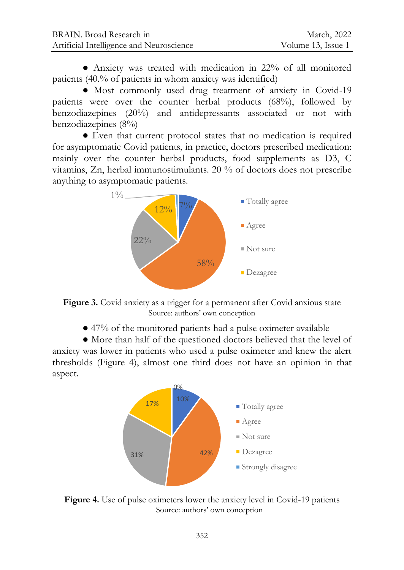● Anxiety was treated with medication in 22% of all monitored patients (40.% of patients in whom anxiety was identified)

● Most commonly used drug treatment of anxiety in Covid-19 patients were over the counter herbal products (68%), followed by benzodiazepines (20%) and antidepressants associated or not with benzodiazepines (8%)

● Even that current protocol states that no medication is required for asymptomatic Covid patients, in practice, doctors prescribed medication: mainly over the counter herbal products, food supplements as D3, C vitamins, Zn, herbal immunostimulants. 20 % of doctors does not prescribe anything to asymptomatic patients.



**Figure 3.** Covid anxiety as a trigger for a permanent after Covid anxious state Source: authors' own conception

● 47% of the monitored patients had a pulse oximeter available

● More than half of the questioned doctors believed that the level of anxiety was lower in patients who used a pulse oximeter and knew the alert thresholds (Figure 4), almost one third does not have an opinion in that aspect.



Figure 4. Use of pulse oximeters lower the anxiety level in Covid-19 patients Source: authors' own conception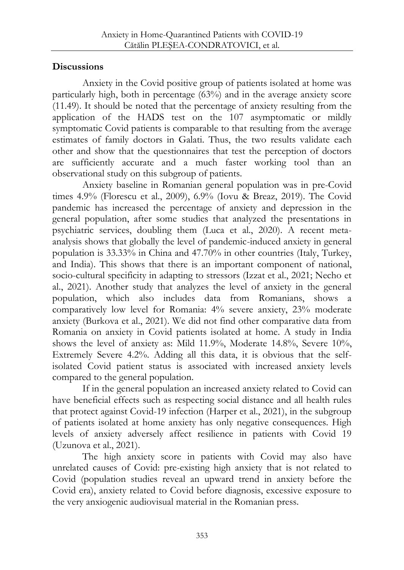### **Discussions**

Anxiety in the Covid positive group of patients isolated at home was particularly high, both in percentage (63%) and in the average anxiety score (11.49). It should be noted that the percentage of anxiety resulting from the application of the HADS test on the 107 asymptomatic or mildly symptomatic Covid patients is comparable to that resulting from the average estimates of family doctors in Galati. Thus, the two results validate each other and show that the questionnaires that test the perception of doctors are sufficiently accurate and a much faster working tool than an observational study on this subgroup of patients.

Anxiety baseline in Romanian general population was in pre-Covid times 4.9% (Florescu et al., 2009), 6.9% (Iovu & Breaz, 2019). The Covid pandemic has increased the percentage of anxiety and depression in the general population, after some studies that analyzed the presentations in psychiatric services, doubling them (Luca et al., 2020). A recent metaanalysis shows that globally the level of pandemic-induced anxiety in general population is 33.33% in China and 47.70% in other countries (Italy, Turkey, and India). This shows that there is an important component of national, socio-cultural specificity in adapting to stressors (Izzat et al., 2021; Necho et al., 2021). Another study that analyzes the level of anxiety in the general population, which also includes data from Romanians, shows a comparatively low level for Romania: 4% severe anxiety, 23% moderate anxiety (Burkova et al., 2021). We did not find other comparative data from Romania on anxiety in Covid patients isolated at home. A study in India shows the level of anxiety as: Mild 11.9%, Moderate 14.8%, Severe 10%, Extremely Severe 4.2%. Adding all this data, it is obvious that the selfisolated Covid patient status is associated with increased anxiety levels compared to the general population.

If in the general population an increased anxiety related to Covid can have beneficial effects such as respecting social distance and all health rules that protect against Covid-19 infection (Harper et al., 2021), in the subgroup of patients isolated at home anxiety has only negative consequences. High levels of anxiety adversely affect resilience in patients with Covid 19 (Uzunova et al., 2021).

The high anxiety score in patients with Covid may also have unrelated causes of Covid: pre-existing high anxiety that is not related to Covid (population studies reveal an upward trend in anxiety before the Covid era), anxiety related to Covid before diagnosis, excessive exposure to the very anxiogenic audiovisual material in the Romanian press.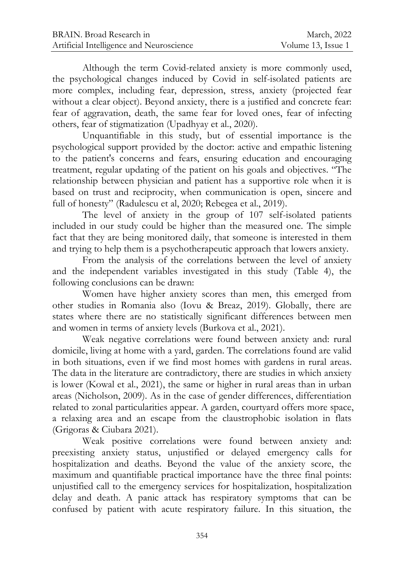Although the term Covid-related anxiety is more commonly used, the psychological changes induced by Covid in self-isolated patients are more complex, including fear, depression, stress, anxiety (projected fear without a clear object). Beyond anxiety, there is a justified and concrete fear: fear of aggravation, death, the same fear for loved ones, fear of infecting others, fear of stigmatization (Upadhyay et al., 2020).

Unquantifiable in this study, but of essential importance is the psychological support provided by the doctor: active and empathic listening to the patient's concerns and fears, ensuring education and encouraging treatment, regular updating of the patient on his goals and objectives. "The relationship between physician and patient has a supportive role when it is based on trust and reciprocity, when communication is open, sincere and full of honesty" (Radulescu et al, 2020; Rebegea et al., 2019).

The level of anxiety in the group of 107 self-isolated patients included in our study could be higher than the measured one. The simple fact that they are being monitored daily, that someone is interested in them and trying to help them is a psychotherapeutic approach that lowers anxiety.

From the analysis of the correlations between the level of anxiety and the independent variables investigated in this study (Table 4), the following conclusions can be drawn:

Women have higher anxiety scores than men, this emerged from other studies in Romania also (Iovu & Breaz, 2019). Globally, there are states where there are no statistically significant differences between men and women in terms of anxiety levels (Burkova et al., 2021).

Weak negative correlations were found between anxiety and: rural domicile, living at home with a yard, garden. The correlations found are valid in both situations, even if we find most homes with gardens in rural areas. The data in the literature are contradictory, there are studies in which anxiety is lower (Kowal et al., 2021), the same or higher in rural areas than in urban areas (Nicholson, 2009). As in the case of gender differences, differentiation related to zonal particularities appear. A garden, courtyard offers more space, a relaxing area and an escape from the claustrophobic isolation in flats (Grigoras & Ciubara 2021).

Weak positive correlations were found between anxiety and: preexisting anxiety status, unjustified or delayed emergency calls for hospitalization and deaths. Beyond the value of the anxiety score, the maximum and quantifiable practical importance have the three final points: unjustified call to the emergency services for hospitalization, hospitalization delay and death. A panic attack has respiratory symptoms that can be confused by patient with acute respiratory failure. In this situation, the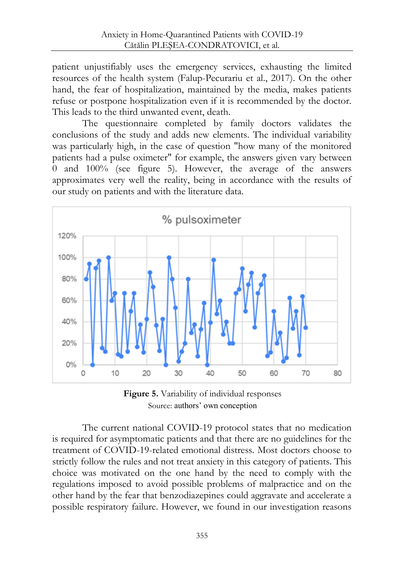patient unjustifiably uses the emergency services, exhausting the limited resources of the health system (Falup-Pecurariu et al., 2017). On the other hand, the fear of hospitalization, maintained by the media, makes patients refuse or postpone hospitalization even if it is recommended by the doctor. This leads to the third unwanted event, death.

The questionnaire completed by family doctors validates the conclusions of the study and adds new elements. The individual variability was particularly high, in the case of question "how many of the monitored patients had a pulse oximeter" for example, the answers given vary between 0 and 100% (see figure 5). However, the average of the answers approximates very well the reality, being in accordance with the results of our study on patients and with the literature data.



**Figure 5.** Variability of individual responses Source: authors' own conception

The current national COVID-19 protocol states that no medication is required for asymptomatic patients and that there are no guidelines for the treatment of COVID-19-related emotional distress. Most doctors choose to strictly follow the rules and not treat anxiety in this category of patients. This choice was motivated on the one hand by the need to comply with the regulations imposed to avoid possible problems of malpractice and on the other hand by the fear that benzodiazepines could aggravate and accelerate a possible respiratory failure. However, we found in our investigation reasons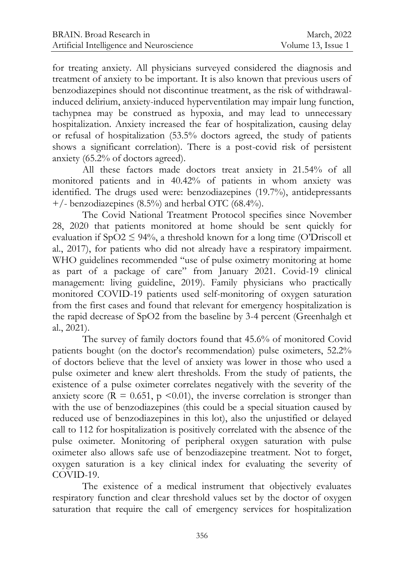for treating anxiety. All physicians surveyed considered the diagnosis and treatment of anxiety to be important. It is also known that previous users of benzodiazepines should not discontinue treatment, as the risk of withdrawalinduced delirium, anxiety-induced hyperventilation may impair lung function, tachypnea may be construed as hypoxia, and may lead to unnecessary hospitalization. Anxiety increased the fear of hospitalization, causing delay or refusal of hospitalization (53.5% doctors agreed, the study of patients shows a significant correlation). There is a post-covid risk of persistent anxiety (65.2% of doctors agreed).

All these factors made doctors treat anxiety in 21.54% of all monitored patients and in 40.42% of patients in whom anxiety was identified. The drugs used were: benzodiazepines (19.7%), antidepressants +/- benzodiazepines (8.5%) and herbal OTC (68.4%).

The Covid National Treatment Protocol specifies since November 28, 2020 that patients monitored at home should be sent quickly for evaluation if  $SpO2 \leq 94\%$ , a threshold known for a long time (O'Driscoll et al., 2017), for patients who did not already have a respiratory impairment. WHO guidelines recommended "use of pulse oximetry monitoring at home as part of a package of care" from January 2021. Covid-19 clinical management: living guideline, 2019). Family physicians who practically monitored COVID-19 patients used self-monitoring of oxygen saturation from the first cases and found that relevant for emergency hospitalization is the rapid decrease of SpO2 from the baseline by 3-4 percent (Greenhalgh et al., 2021).

The survey of family doctors found that 45.6% of monitored Covid patients bought (on the doctor's recommendation) pulse oximeters, 52.2% of doctors believe that the level of anxiety was lower in those who used a pulse oximeter and knew alert thresholds. From the study of patients, the existence of a pulse oximeter correlates negatively with the severity of the anxiety score ( $\mathbf{\bar{R}} = 0.651$ ,  $\mathbf{p} \le 0.01$ ), the inverse correlation is stronger than with the use of benzodiazepines (this could be a special situation caused by reduced use of benzodiazepines in this lot), also the unjustified or delayed call to 112 for hospitalization is positively correlated with the absence of the pulse oximeter. Monitoring of peripheral oxygen saturation with pulse oximeter also allows safe use of benzodiazepine treatment. Not to forget, oxygen saturation is a key clinical index for evaluating the severity of COVID-19.

The existence of a medical instrument that objectively evaluates respiratory function and clear threshold values set by the doctor of oxygen saturation that require the call of emergency services for hospitalization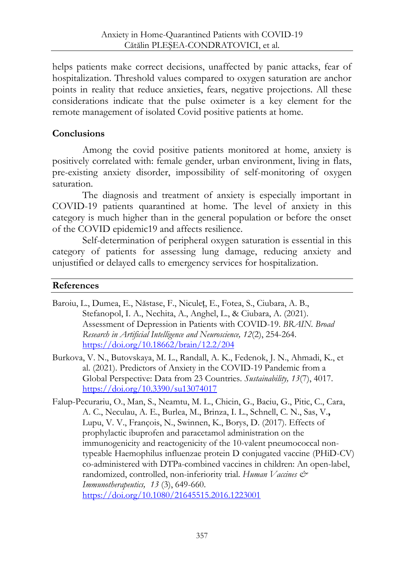helps patients make correct decisions, unaffected by panic attacks, fear of hospitalization. Threshold values compared to oxygen saturation are anchor points in reality that reduce anxieties, fears, negative projections. All these considerations indicate that the pulse oximeter is a key element for the remote management of isolated Covid positive patients at home.

## **Conclusions**

Among the covid positive patients monitored at home, anxiety is positively correlated with: female gender, urban environment, living in flats, pre-existing anxiety disorder, impossibility of self-monitoring of oxygen saturation.

The diagnosis and treatment of anxiety is especially important in COVID-19 patients quarantined at home. The level of anxiety in this category is much higher than in the general population or before the onset of the COVID epidemic19 and affects resilience.

Self-determination of peripheral oxygen saturation is essential in this category of patients for assessing lung damage, reducing anxiety and unjustified or delayed calls to emergency services for hospitalization.

#### **References**

- Baroiu, L., Dumea, E., Năstase, F., Niculeț, E., Fotea, S., Ciubara, A. B., Stefanopol, I. A., Nechita, A., Anghel, L., & Ciubara, A. (2021). Assessment of Depression in Patients with COVID-19. *BRAIN. Broad Research in Artificial Intelligence and Neuroscience, 12*(2), 254-264. <https://doi.org/10.18662/brain/12.2/204>
- Burkova, V. N., Butovskaya, M. L., Randall, A. K., Fedenok, J. N., Ahmadi, K., et al. (2021). Predictors of Anxiety in the COVID-19 Pandemic from a Global Perspective: Data from 23 Countries. *Sustainability, 13*(7), 4017. <https://doi.org/10.3390/su13074017>
- Falup-Pecurariu, O., Man, S., Neamtu, M. L., Chicin, G., Baciu, G., Pitic, C., Cara, A. C., Neculau, A. E., Burlea, M., Brinza, I. L., Schnell, C. N., Sas, V.**,**  Lupu, V. V., François, N., Swinnen, K., Borys, D. (2017). Effects of prophylactic ibuprofen and paracetamol administration on the immunogenicity and reactogenicity of the 10-valent pneumococcal nontypeable Haemophilus influenzae protein D conjugated vaccine (PHiD-CV) co-administered with DTPa-combined vaccines in children: An open-label, randomized, controlled, non-inferiority trial. *Human Vaccines & Immunotherapeutics, 13* (3), 649-660. <https://doi.org/10.1080/21645515.2016.1223001>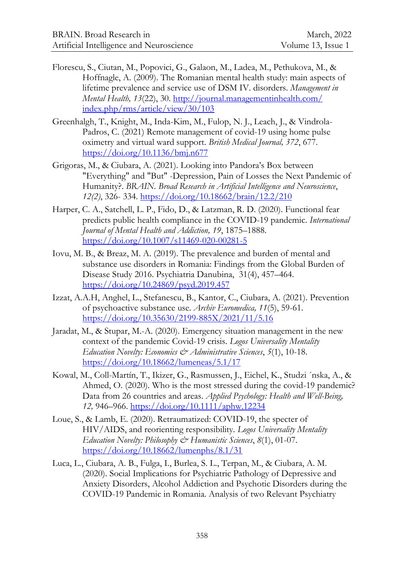- Florescu, S., Ciutan, M., Popovici, G., Galaon, M., Ladea, M., Pethukova, M., & Hoffnagle, A. (2009). The Romanian mental health study: main aspects of lifetime prevalence and service use of DSM IV. disorders. *Management in Mental Health, 13*(22), 30. [http://journal.managementinhealth.com/](http://journal.managementinhealth.com/%0Bindex.php/rms/article/view/30/103) [index.php/rms/article/view/30/103](http://journal.managementinhealth.com/%0Bindex.php/rms/article/view/30/103)
- Greenhalgh, T., Knight, M., Inda-Kim, M., Fulop, N. J., Leach, J., & Vindrola-Padros, C. (2021) Remote management of covid-19 using home pulse oximetry and virtual ward support. *British Medical Journal, 372*, 677. <https://doi.org/10.1136/bmj.n677>
- Grigoras, M., & Ciubara, A. (2021). Looking into Pandora's Box between "Everything" and "But" -Depression, Pain of Losses the Next Pandemic of Humanity?. *BRAIN. Broad Research in Artificial Intelligence and Neuroscience*, *12(2)*, 326- 334.<https://doi.org/10.18662/brain/12.2/210>
- Harper, C. A., Satchell, L. P., Fido, D., & Latzman, R. D. (2020). Functional fear predicts public health compliance in the COVID-19 pandemic. *International Journal of Mental Health and Addiction, 19*, 1875–1888. <https://doi.org/10.1007/s11469-020-00281-5>
- Iovu, M. B., & Breaz, M. A. (2019). The prevalence and burden of mental and substance use disorders in Romania: Findings from the Global Burden of Disease Study 2016. Psychiatria Danubina, 31(4), 457–464. <https://doi.org/10.24869/psyd.2019.457>
- Izzat, A.A.H, Anghel, L., Stefanescu, B., Kantor, C., Ciubara, A. (2021). Prevention of psychoactive substance use. *Archiv Euromedica, 11*(5), 59-61. <https://doi.org/10.35630/2199-885X/2021/11/5.16>
- Jaradat, M., & Stupar, M.-A. (2020). Emergency situation management in the new context of the pandemic Covid-19 crisis. *Logos Universality Mentality Education Novelty: Economics & Administrative Sciences*, *5*(1), 10-18. <https://doi.org/10.18662/lumeneas/5.1/17>
- Kowal, M., Coll-Martín, T., Ikizer, G., Rasmussen, J., Eichel, K., Studzi ´nska, A., & Ahmed, O. (2020). Who is the most stressed during the covid-19 pandemic? Data from 26 countries and areas. *Applied Psychology: Health and Well-Being, 12,* 946–966.<https://doi.org/10.1111/aphw.12234>
- Loue, S., & Lamb, E. (2020). Retraumatized: COVID-19, the specter of HIV/AIDS, and reorienting responsibility. *Logos Universality Mentality Education Novelty: Philosophy & Humanistic Sciences*, *8*(1), 01-07. <https://doi.org/10.18662/lumenphs/8.1/31>
- Luca, L., Ciubara, A. B., Fulga, I., Burlea, S. L., Terpan, M., & Ciubara, A. M. (2020). Social Implications for Psychiatric Pathology of Depressive and Anxiety Disorders, Alcohol Addiction and Psychotic Disorders during the COVID-19 Pandemic in Romania. Analysis of two Relevant Psychiatry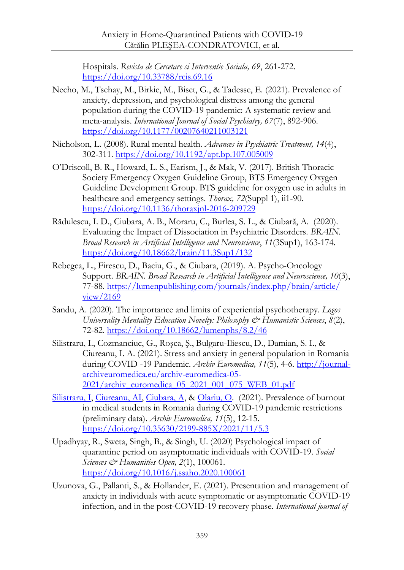Hospitals. *Revista de Cercetare si Interventie Sociala, 69*, 261-272. <https://doi.org/10.33788/rcis.69.16>

- Necho, M., Tsehay, M., Birkie, M., Biset, G., & Tadesse, E. (2021). Prevalence of anxiety, depression, and psychological distress among the general population during the COVID-19 pandemic: A systematic review and meta-analysis. *International Journal of Social Psychiatry, 67*(7), 892-906. <https://doi.org/10.1177/00207640211003121>
- Nicholson, L. (2008). Rural mental health. *Advances in Psychiatric Treatment, 14*(4), 302-311.<https://doi.org/10.1192/apt.bp.107.005009>
- O'Driscoll, B. R., Howard, L. S., Earism, J., & Mak, V. (2017). British Thoracic Society Emergency Oxygen Guideline Group, BTS Emergency Oxygen Guideline Development Group. BTS guideline for oxygen use in adults in healthcare and emergency settings. *Thorax, 72*(Suppl 1), ii1-90. <https://doi.org/10.1136/thoraxjnl-2016-209729>
- Rădulescu, I. D., Ciubara, A. B., Moraru, C., Burlea, S. L., & Ciubară, A. (2020). Evaluating the Impact of Dissociation in Psychiatric Disorders. *BRAIN. Broad Research in Artificial Intelligence and Neuroscience*, *11*(3Sup1), 163-174. <https://doi.org/10.18662/brain/11.3Sup1/132>
- Rebegea, L., Firescu, D., Baciu, G., & Ciubara, (2019). A. Psycho-Oncology Support. *BRAIN. Broad Research in Artificial Intelligence and Neuroscience, 10*(3), 77-88. [https://lumenpublishing.com/journals/index.php/brain/article/](https://lumenpublishing.com/journals/index.php/brain/article/%0Bview/2169) [view/2169](https://lumenpublishing.com/journals/index.php/brain/article/%0Bview/2169)
- Sandu, A. (2020). The importance and limits of experiential psychotherapy. *Logos Universality Mentality Education Novelty: Philosophy & Humanistic Sciences*, *8*(2), 72-82.<https://doi.org/10.18662/lumenphs/8.2/46>
- Silistraru, I., Cozmanciuc, G., Roşca, Ş., Bulgaru-Iliescu, D., Damian, S. I., & Ciureanu, I. A. (2021). Stress and anxiety in general population in Romania during COVID -19 Pandemic. *Archiv Euromedica, 11*(5), 4-6. [http://journal](http://journal-archiveuromedica.eu/archiv-euromedica-05-2021/archiv_euromedica_05_2021_001_075_WEB_01.pdf)[archiveuromedica.eu/archiv-euromedica-05-](http://journal-archiveuromedica.eu/archiv-euromedica-05-2021/archiv_euromedica_05_2021_001_075_WEB_01.pdf) [2021/archiv\\_euromedica\\_05\\_2021\\_001\\_075\\_WEB\\_01.pdf](http://journal-archiveuromedica.eu/archiv-euromedica-05-2021/archiv_euromedica_05_2021_001_075_WEB_01.pdf)
- [Silistraru, I,](https://www.webofscience.com/wos/author/record/34745962) [Ciureanu, AI,](https://www.webofscience.com/wos/author/record/9207389) [Ciubara, A,](https://www.webofscience.com/wos/author/record/32117932) [& Olariu, O.](https://www.webofscience.com/wos/author/record/30711467) (2021). Prevalence of burnout in medical students in Romania during COVID-19 pandemic restrictions (preliminary data). *Archiv Euromedica, 11*(5), 12-15. <https://doi.org/10.35630/2199-885X/2021/11/5.3>
- Upadhyay, R., Sweta, Singh, B., & Singh, U. (2020) Psychological impact of quarantine period on asymptomatic individuals with COVID-19. *Social Sciences & Humanities Open, 2*(1), 100061. <https://doi.org/10.1016/j.ssaho.2020.100061>
- Uzunova, G., Pallanti, S., & Hollander, E. (2021). Presentation and management of anxiety in individuals with acute symptomatic or asymptomatic COVID-19 infection, and in the post-COVID-19 recovery phase. *International journal of*